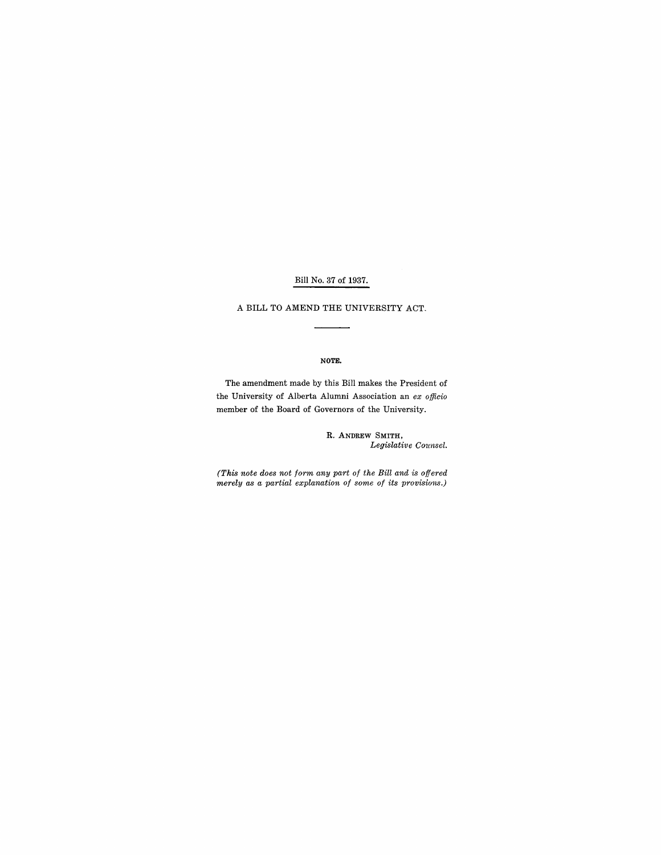### Bill No. 37 of 1937.

A BILL TO AMEND THE UNIVERSITY ACT.

#### NOTE.

The amendment made by this Bill makes the President of the University of Alberta Alumni Association an *ex officio*  member of the Board of Governors of the University.

> R. ANDREW SMITH, *Legislative Cmmsel.*

*(This note does not form any part of the Bill and is offered merely as a partial explanation of some of its provisions.)*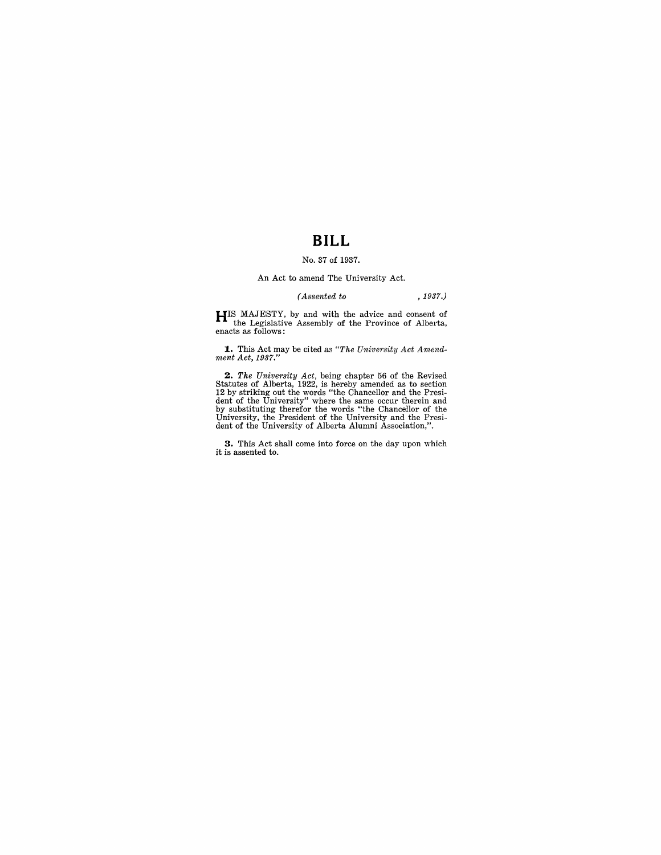# **BILL**

#### No. 37 of 1937.

#### An Act to amend The University Act.

#### *(Assented to* , 1937.)

**HIS** MAJESTY, by and with the advice and consent of the Legislative Assembly of the Province of Alberta, enacts as follows:

**1..** This Act may be cited as *"The University Act Arnend-ment Act, 1937."* 

**2.** The University Act, being chapter 56 of the Revised Statutes of Alberta, 1922, is hereby amended as to section 12 by striking out the words "the Chancellor and the President of the University" where the same occur th

**3.** This Act shall come into force on the day upon which it is assented to.